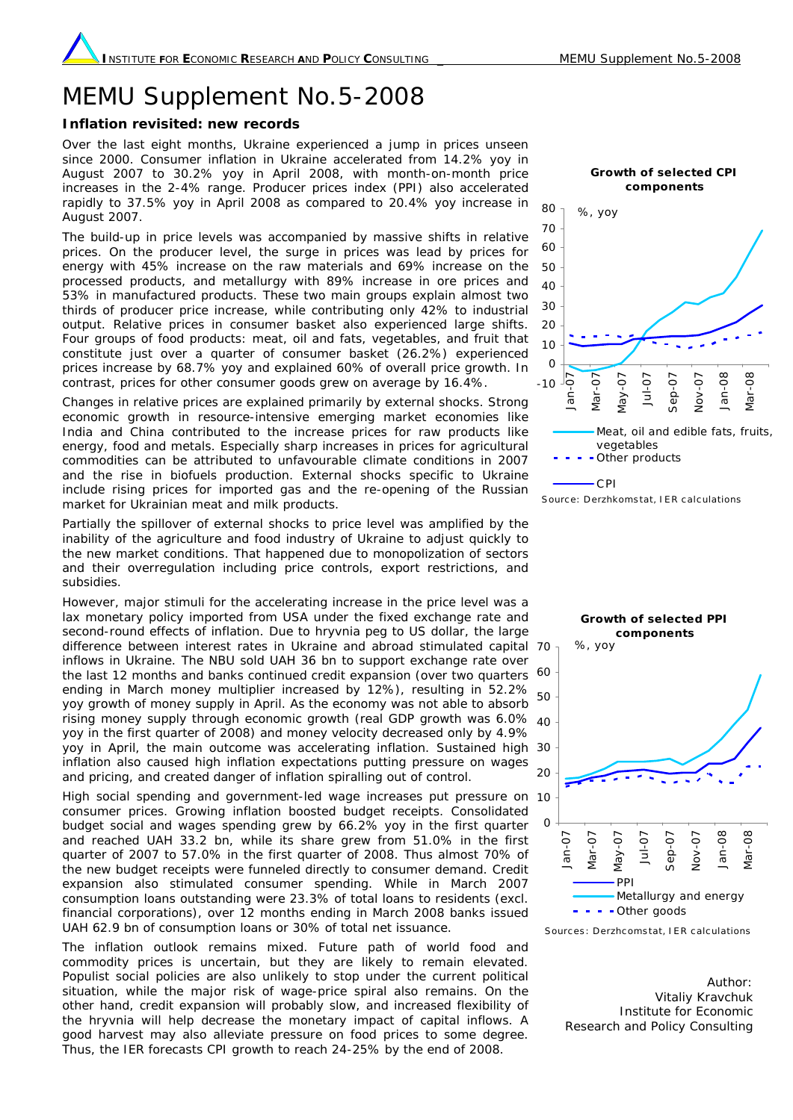## MEMU Supplement No.5-2008

## **Inflation revisited: new records**

Over the last eight months, Ukraine experienced a jump in prices unseen since 2000. Consumer inflation in Ukraine accelerated from 14.2% yoy in August 2007 to 30.2% yoy in April 2008, with month-on-month price increases in the 2-4% range. Producer prices index (PPI) also accelerated rapidly to 37.5% yoy in April 2008 as compared to 20.4% yoy increase in August 2007.

The build-up in price levels was accompanied by massive shifts in relative prices. On the producer level, the surge in prices was lead by prices for energy with 45% increase on the raw materials and 69% increase on the processed products, and metallurgy with 89% increase in ore prices and 53% in manufactured products. These two main groups explain almost two thirds of producer price increase, while contributing only 42% to industrial output. Relative prices in consumer basket also experienced large shifts. Four groups of food products: meat, oil and fats, vegetables, and fruit that constitute just over a quarter of consumer basket (26.2%) experienced prices increase by 68.7% yoy and explained 60% of overall price growth. In contrast, prices for other consumer goods grew on average by 16.4%.

Changes in relative prices are explained primarily by external shocks. Strong economic growth in resource-intensive emerging market economies like India and China contributed to the increase prices for raw products like energy, food and metals. Especially sharp increases in prices for agricultural commodities can be attributed to unfavourable climate conditions in 2007 and the rise in biofuels production. External shocks specific to Ukraine include rising prices for imported gas and the re-opening of the Russian market for Ukrainian meat and milk products.

Partially the spillover of external shocks to price level was amplified by the inability of the agriculture and food industry of Ukraine to adjust quickly to the new market conditions. That happened due to monopolization of sectors and their overregulation including price controls, export restrictions, and subsidies.

However, major stimuli for the accelerating increase in the price level was a lax monetary policy imported from USA under the fixed exchange rate and second-round effects of inflation. Due to hryvnia peg to US dollar, the large difference between interest rates in Ukraine and abroad stimulated capital 70 inflows in Ukraine. The NBU sold UAH 36 bn to support exchange rate over the last 12 months and banks continued credit expansion (over two quarters 60 ending in March money multiplier increased by 12%), resulting in 52.2% yoy growth of money supply in April. As the economy was not able to absorb rising money supply through economic growth (real GDP growth was 6.0% 40 yoy in the first quarter of 2008) and money velocity decreased only by 4.9% yoy in April, the main outcome was accelerating inflation. Sustained high 30 inflation also caused high inflation expectations putting pressure on wages and pricing, and created danger of inflation spiralling out of control.

High social spending and government-led wage increases put pressure on 10 consumer prices. Growing inflation boosted budget receipts. Consolidated budget social and wages spending grew by 66.2% yoy in the first quarter and reached UAH 33.2 bn, while its share grew from 51.0% in the first quarter of 2007 to 57.0% in the first quarter of 2008. Thus almost 70% of the new budget receipts were funneled directly to consumer demand. Credit expansion also stimulated consumer spending. While in March 2007 consumption loans outstanding were 23.3% of total loans to residents (excl. financial corporations), over 12 months ending in March 2008 banks issued UAH 62.9 bn of consumption loans or 30% of total net issuance.

The inflation outlook remains mixed. Future path of world food and commodity prices is uncertain, but they are likely to remain elevated. Populist social policies are also unlikely to stop under the current political situation, while the major risk of wage-price spiral also remains. On the other hand, credit expansion will probably slow, and increased flexibility of the hryvnia will help decrease the monetary impact of capital inflows. A good harvest may also alleviate pressure on food prices to some degree. Thus, the IER forecasts CPI growth to reach 24-25% by the end of 2008.



Source: Derzhkomstat, IER calculations



Sourc es : Derzhc oms tat, I E R c alc ulations

Author: Vitaliy Kravchuk Institute for Economic Research and Policy Consulting